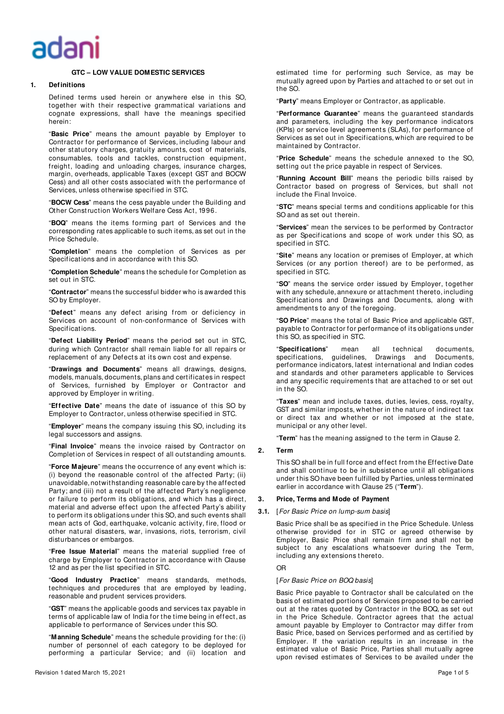# adaı

# **GTC – LOW VALUE DOMESTIC SERVICES**

# **1. Definitions**

Defined terms used herein or anywhere else in this SO, together with their respective grammatical variations and cognate expressions, shall have the meanings specified herein:

"**Basic Price**" means t he amount payable by Employer to Contractor for performance of Services, including labour and other statutory charges, gratuity amounts, cost of materials, consumables, tools and tackles, construction equipment, freight, loading and unloading charges, insurance charges, margin, overheads, applicable Taxes (except GST and BOCW Cess) and all other costs associated with the performance of Services, unless otherwise specified in STC.

"**BOCW Cess**" means the cess payable under the Building and Other Const ruction Workers Welfare Cess Act, 1996.

"**BOQ**" means the items forming part of Services and the corresponding rates applicable to such items, as set out in the Price Schedule.

"**Completion**" means the completion of Services as per Specifications and in accordance with this SO.

"**Completion Schedule**" means the schedule for Completion as set out in STC.

"**Contractor**" means the successful bidder who is awarded this SO by Employer.

"**Defect**" means any defect arising f rom or deficiency in Services on account of non-conformance of Services with Specif icat ions.

"**Defect Liability Period**" means the period set out in STC, during which Contractor shall remain liable for all repairs or replacement of any Defects at its own cost and expense.

"**Drawings and Documents**" means all drawings, designs, models, manuals, documents, plans and certificates in respect of Services, furnished by Employer or Contractor and approved by Employer in writing.

"**Effective Date**" means t he date of issuance of this SO by Employer to Contractor, unless otherwise specified in STC.

"**Employer**" means the company issuing this SO, including its legal successors and assigns.

"**Final Invoice**" means the invoice raised by Cont ractor on Completion of Services in respect of all outstanding amount s.

"**Force Majeure**" means the occurrence of any event which is: (i) beyond the reasonable control of the affected Party; (ii) unavoidable, notwit hstanding reasonable care by the affected Party; and (iii) not a result of the affected Party's negligence or failure to perform its obligations, and which has a direct, material and adverse effect upon the affected Party's ability to perform it s obligations under this SO, and such events shall mean acts of God, earthquake, volcanic activity, fire, flood or other natural disasters, war, invasions, riots, terrorism, civil disturbances or embargos.

"**Free Issue Material**" means the material supplied free of charge by Employer to Contractor in accordance with Clause 12 and as per the list specified in STC.

"**Good Industry Practice**" means standards, methods, techniques and procedures that are employed by leading, reasonable and prudent services providers.

"**GST**" means t he applicable goods and services tax payable in terms of applicable law of India for the time being in effect, as applicable to performance of Services under this SO.

"**Manning Schedule**" means the schedule providing for t he: (i) number of personnel of each category to be deployed for performing a particular Service; and (ii) location and estimat ed time for performing such Service, as may be mutually agreed upon by Parties and attached to or set out in the SO.

"**Party**" means Employer or Contractor, as applicable.

"**Performance Guarantee**" means the guaranteed standards and parameters, including the key performance indicators (KPIs) or service level agreements (SLAs), for performance of Services as set out in Specifications, which are required to be maintained by Contractor.

"**Price Schedule**" means the schedule annexed to the SO, setting out the price payable in respect of Services.

"**Running Account Bill**" means the periodic bills raised by Contractor based on progress of Services, but shall not include the Final Invoice.

"**STC**" means special terms and conditions applicable for this SO and as set out therein.

"Services" mean the services to be performed by Contractor as per Specifications and scope of work under this SO, as specified in STC.

"**Site**" means any location or premises of Employer, at which Services (or any portion thereof) are to be performed, as specified in STC.

"**SO**" means the service order issued by Employer, toget her with any schedule, annexure or attachment thereto, including Specifications and Drawings and Documents, along with amendments to any of the foregoing.

"**SO Price**" means t he total of Basic Price and applicable GST, payable to Contractor for performance of its obligations under this SO, as specified in STC.

"**Specifications**" mean all t echnical documents, specifications, guidelines, Drawings and Documents, performance indicators, latest international and Indian codes and standards and ot her parameters applicable to Services and any specific requirements that are attached to or set out in the SO.

"**Taxes**" mean and include taxes, dut ies, levies, cess, royalty, GST and similar imposts, whether in the nature of indirect tax or direct tax and whether or not imposed at the state, municipal or any other level.

"**Term**" has t he meaning assigned to t he term in Clause 2.

## **2. Term**

This SO shall be in full force and effect from the Effective Date and shall continue to be in subsistence until all obligations under this SO have been fulfilled by Parties, unless terminated earlier in accordance with Clause 25 ("Term").

#### **3. Price, Terms and Mode of Payment**

#### **3.1.** [For Basic Price on lump-sum basis]

Basic Price shall be as specified in the Price Schedule. Unless otherwise provided for in STC or agreed otherwise by Employer, Basic Price shall remain firm and shall not be subject to any escalations whatsoever during the Term. including any extensions thereto.

# OR

# [For Basic Price on BOQ basis]

Basic Price payable to Contractor shall be calculated on the basis of estimated portions of Services proposed to be carried out at the rates quoted by Contractor in the BOQ, as set out in the Price Schedule. Contractor agrees that the actual amount payable by Employer to Contractor may differ from Basic Price, based on Services performed and as certified by Employer. If the variation results in an increase in the estimated value of Basic Price, Parties shall mutually agree upon revised estimates of Services to be availed under the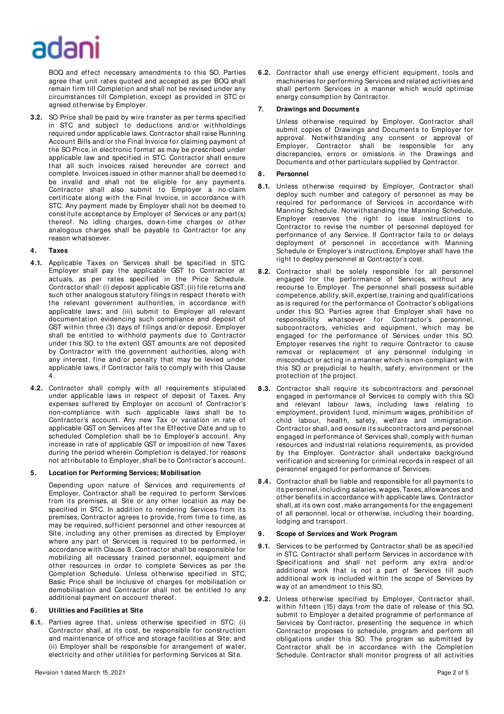# adar

BOQ and effect necessary amendments to this SO. Parties agree that unit rates quoted and accepted as per BOQ shall remain firm till Completion and shall not be revised under any circumstances till Completion, except as provided in STC or agreed otherwise by Employer.

**3.2.** SO Price shall be paid by wire transfer as per terms specified in STC and subject to deductions and/or withholdings required under applicable laws. Cont ractor shall raise Running Account Bills and/or the Final Invoice for claiming payment of the SO Price, in electronic format as may be prescribed under applicable law and specified in STC. Contractor shall ensure that all such invoices raised hereunder are correct and complete. Invoices issued in other manner shall be deemed to be invalid and shall not be eligible for any payments. Contractor shall also submit to Employer a no-claim certificate along with the Final Invoice, in accordance with STC. Any payment made by Employer shall not be deemed to constitute acceptance by Employer of Services or any part(s) thereof. No idling charges, down-time charges or other analogous charges shall be payable to Contractor for any reason what soever.

# **4. Taxes**

- **4.1.** Applicable Taxes on Services shall be specified in STC. Employer shall pay the applicable GST to Contractor at actuals, as per rates specified in the Price Schedule. Contractor shall: (i) deposit applicable GST; (ii) file returns and such other analogous statutory filings in respect thereto with the relevant government authorities, in accordance with applicable laws; and (iii) submit to Employer all relevant documentation evidencing such compliance and deposit of GST within three (3) days of filings and/or deposit. Employer shall be entitled to withhold payments due to Contractor under this SO, to the extent GST amounts are not deposited by Contractor with the government authorities, along with any interest, fine and/or penalty that may be levied under applicable laws, if Contractor fails to comply with this Clause 4.
- **4.2.** Contractor shall comply with all requirements stipulated under applicable laws in respect of deposit of Taxes. Any expenses suffered by Employer on account of Contractor's non-compliance with such applicable laws shall be to Contractor's account. Any new Tax or variation in rate of applicable GST on Services af ter t he Effective Date and up to scheduled Completion shall be to Employer's account. Any increase in rate of applicable GST or imposition of new Taxes during the period wherein Completion is delayed, for reasons not att ributable to Employer, shall be to Cont ractor's account.

#### **5. Location for Performing Services; Mobilisation**

Depending upon nature of Services and requirements of Employer, Contractor shall be required to perform Services from its premises, at Site or any other location as may be specified in STC. In addition to rendering Services from its premises, Contractor agrees to provide, from time to time, as may be required, sufficient personnel and other resources at Site, including any other premises as directed by Employer where any part of Services is required to be performed, in accordance with Clause 8. Contractor shall be responsible for mobilizing all necessary t rained personnel, equipment and other resources in order to complete Services as per the Completion Schedule. Unless otherwise specified in STC, Basic Price shall be inclusive of charges for mobilisation or demobilisation and Contractor shall not be entitled to any additional payment on account thereof.

#### **6 . Utilities and Facilities at Site**

**6.1.** Parties agree that, unless otherwise specified in STC: (i) Contractor shall, at its cost, be responsible for construction and maintenance of office and storage facilities at Site; and (ii) Employer shall be responsible for arrangement of water, elect ricity and other utilities for performing Services at Site.

**6 .2.** Contractor shall use energy efficient equipment, tools and machineries for performing Services and related activities and shall perform Services in a manner which would optimise energy consumption by Contractor.

# **7. Drawings and Documents**

Unless otherwise required by Employer, Contractor shall submit copies of Drawings and Documents to Employer for approval. Notwithstanding any consent or approval of Employer, Contractor shall be responsible for any discrepancies, errors or omissions in the Drawings and Documents and other particulars supplied by Contractor.

# **8 . Personnel**

- 8.1. Unless otherwise required by Employer, Contractor shall deploy such number and category of personnel as may be required for performance of Services in accordance with Manning Schedule. Notwithstanding the Manning Schedule, Employer reserves the right to issue instructions to Contractor to revise the number of personnel deployed for performance of any Service. If Contractor fails to or delays deployment of personnel in accordance with Manning Schedule or Employer's inst ructions, Employer shall have the right to deploy personnel at Contractor's cost.
- **8 .2.** Contractor shall be solely responsible for all personnel engaged for the performance of Services, without any recourse to Employer. The personnel shall possess suitable competence, ability, skill, expert ise, training and qualifications as is required for the performance of Contractor's obligations under this SO. Parties agree that Employer shall have no responsibility whatsoever for Contractor's personnel, subcontractors, vehicles and equipment, which may be engaged for the performance of Services under this SO. Employer reserves the right to require Contractor to cause removal or replacement of any personnel indulging in misconduct or acting in a manner which is non-compliant with this SO or prejudicial to health, safety, environment or the protection of the project.
- **8 .3.** Contractor shall require its subcontractors and personnel engaged in performance of Services to comply with this SO and relevant labour laws, including laws relating to employment, provident fund, minimum wages, prohibition of child labour, health, safety, welfare and immigration. Contractor shall, and ensure its subcontractors and personnel engaged in performance of Services shall, comply with human resources and indust rial relations requirements, as provided by the Employer. Contractor shall undertake background verification and screening for criminal records in respect of all personnel engaged for performance of Services.
- **8 .4.** Contractor shall be liable and responsible for all payments to its personnel, including salaries, wages, Taxes, allowances and other benefits in accordance wit h applicable laws. Contractor shall, at its own cost , make arrangements for the engagement of all personnel, local or otherwise, including their boarding, lodging and transport.

#### **9. Scope of Services and Work Program**

- **9.1.** Services to be performed by Contractor shall be as specified in STC. Contractor shall perform Services in accordance with Specifications and shall not perform any extra and/or additional work that is not a part of Services till such additional work is included within the scope of Services by way of an amendment to this SO.
- **9.2.** Unless otherwise specified by Employer, Contractor shall, within fifteen (15) days from the date of release of this SO, submit to Employer a detailed programme of performance of Services by Contractor, presenting the sequence in which Contractor proposes to schedule, program and perform all obligations under this SO. The program so submitted by Contractor shall be in accordance with the Completion Schedule. Contractor shall monitor progress of all activities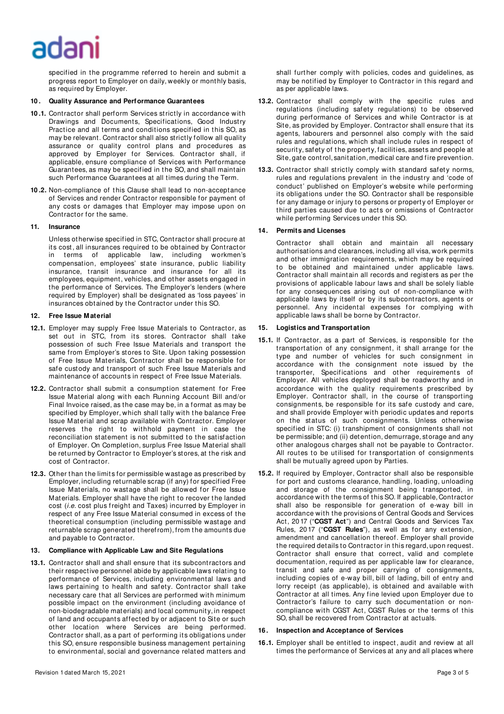# adar

specified in the programme referred to herein and submit a progress report to Employer on daily, weekly or monthly basis, as required by Employer.

### **10 . Quality Assurance and Performance Guarantees**

- **10 .1.** Contractor shall perform Services strictly in accordance with Drawings and Documents, Specifications, Good Industry Practice and all terms and conditions specified in this SO, as may be relevant. Cont ractor shall also strictly follow all quality assurance or quality control plans and procedures as approved by Employer for Services. Contractor shall, if applicable, ensure compliance of Services with Performance Guarantees, as may be specified in the SO, and shall maintain such Performance Guarantees at all times during the Term.
- **10 .2.** Non-compliance of t his Clause shall lead to non-acceptance of Services and render Contractor responsible for payment of any costs or damages that Employer may impose upon on Contractor for the same.

# **11. Insurance**

Unless otherwise specified in STC, Cont ractor shall procure at its cost , all insurances required to be obtained by Contractor in terms of applicable law, including workmen's compensation, employees' state insurance, public liability insurance, transit insurance and insurance for all its employees, equipment, vehicles, and ot her asset s engaged in the performance of Services. The Employer's lenders (where required by Employer) shall be designated as 'loss payees' in insurances obtained by the Cont ractor under this SO.

# **12. Free Issue M aterial**

- **12.1.** Employer may supply Free Issue Materials to Contractor, as set out in STC, from its stores. Contractor shall take possession of such Free Issue Materials and transport the same from Employer's stores to Site. Upon taking possession of Free Issue Materials, Contractor shall be responsible for safe custody and transport of such Free Issue Materials and maintenance of accounts in respect of Free Issue Materials.
- **12.2.** Contractor shall submit a consumption statement for Free Issue Material along with each Running Account Bill and/or Final Invoice raised, as the case may be, in a format as may be specified by Employer, which shall tally with the balance Free Issue Material and scrap available with Contractor. Employer reserves the right to withhold payment in case the reconciliation statement is not submitted to the satisfaction of Employer. On Completion, surplus Free Issue Material shall be returned by Cont ractor to Employer's stores, at the risk and cost of Contractor.
- **12.3.** Other than the limits for permissible wastage as prescribed by Employer, including ret urnable scrap (if any) for specified Free Issue Materials, no wastage shall be allowed for Free Issue Materials. Employer shall have the right to recover the landed cost (i.e. cost plus freight and Taxes) incurred by Employer in respect of any Free Issue Material consumed in excess of the theoretical consumption (including permissible wastage and ret urnable scrap generated theref rom), from the amounts due and payable to Cont ractor.

#### **13. Compliance with Applicable Law and Site Regulations**

**13.1.** Contractor shall and shall ensure that its subcontractors and their respective personnel abide by applicable laws relating to performance of Services, including environmental laws and laws pertaining to health and safety. Contractor shall take necessary care that all Services are performed with minimum possible impact on the environment (including avoidance of non-biodegradable materials) and local communit y, in respect of land and occupant s affected by or adjacent to Site or such other location where Services are being performed. Contractor shall, as a part of performing its obligations under this SO, ensure responsible business management pertaining to environmental, social and governance related matters and shall further comply with policies, codes and guidelines, as may be notified by Employer to Contractor in this regard and as per applicable laws.

- **13.2.** Contractor shall comply with the specific rules and regulations (including safety regulations) to be observed during performance of Services and while Contractor is at Site, as provided by Employer. Contractor shall ensure that its agents, labourers and personnel also comply with the said rules and regulations, which shall include rules in respect of security, safety of the property, facilities, assets and people at Site, gate control, sanitation, medical care and fire prevention.
- 13.3. Contractor shall strictly comply with standard safety norms, rules and regulations prevalent in the industry and 'code of conduct' published on Employer's website while performing its obligations under the SO. Contractor shall be responsible for any damage or injury to persons or property of Employer or third parties caused due to act s or omissions of Contractor while performing Services under this SO.

# **14. Permits and Licenses**

Contractor shall obtain and maintain all necessary authorisations and clearances, including all visa, work permits and other immigration requirements, which may be required to be obtained and maintained under applicable laws. Contractor shall maintain all records and regist ers as per the provisions of applicable labour laws and shall be solely liable for any consequences arising out of non-compliance with applicable laws by itself or by its subcontractors, agents or personnel. Any incidental expenses for complying with applicable laws shall be borne by Contractor.

# **15. Logistics and Transportation**

- **15.1.** If Contractor, as a part of Services, is responsible for the transportation of any consignment, it shall arrange for the type and number of vehicles for such consignment in accordance with the consignment note issued by the transporter, Specifications and other requirements of Employer. All vehicles deployed shall be roadworthy and in accordance with the quality requirements prescribed by Employer. Contractor shall, in the course of transporting consignments, be responsible for its safe custody and care, and shall provide Employer with periodic updates and reports on the status of such consignments. Unless otherwise specified in STC: (i) transhipment of consignments shall not be permissible; and (ii) detention, demurrage, storage and any other analogous charges shall not be payable to Contractor. All routes to be utilised for transportation of consignments shall be mut ually agreed upon by Parties.
- **15.2.** If required by Employer, Cont ractor shall also be responsible for port and customs clearance, handling, loading, unloading and storage of the consignment being transported, in accordance with the terms of this SO. If applicable, Contractor shall also be responsible for generation of e-way bill in accordance with the provisions of Central Goods and Services Act, 20 17 ("**CGST Act**") and Central Goods and Services Tax Rules, 20 17 ("**CGST Rules**"), as well as for any extension, amendment and cancellation thereof. Employer shall provide the required details to Contractor in this regard, upon request. Contractor shall ensure that correct, valid and complete documentation, required as per applicable law for clearance, transit and safe and proper carrying of consignments, including copies of e-way bill, bill of lading, bill of entry and lorry receipt (as applicable), is obtained and available with Contractor at all times. Any fine levied upon Employer due to Contractor's failure to carry such documentation or noncompliance with CGST Act, CGST Rules or the terms of this SO, shall be recovered from Contractor at actuals.

#### **16 . Inspection and Acceptance of Services**

**16 .1.** Employer shall be entitled to inspect , audit and review at all times the performance of Services at any and all places where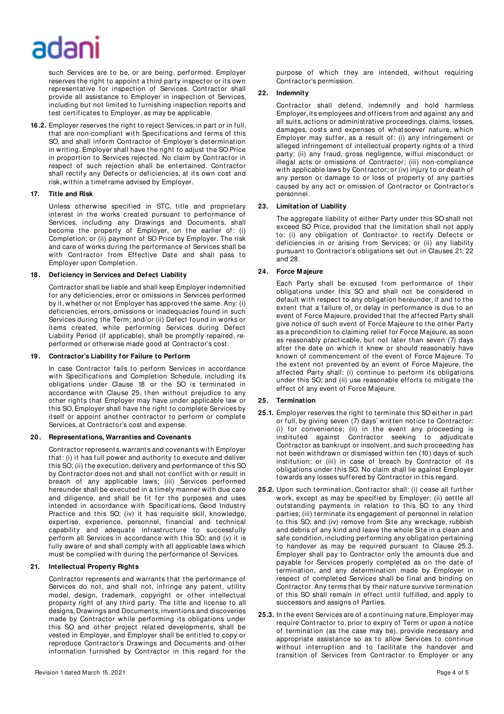# adar

such Services are to be, or are being, performed. Employer reserves the right to appoint a t hird party inspector or its own representative for inspection of Services. Contractor shall provide all assistance to Employer in inspection of Services, including but not limited to furnishing inspection reports and test cert ificates to Employer, as may be applicable.

**16 .2.** Employer reserves the right to reject Services, in part or in full, that are non-compliant with Specifications and terms of this SO, and shall inform Contractor of Employer's determination in writing. Employer shall have the right to adjust the SO Price in proportion to Services rejected. No claim by Contractor in respect of such rejection shall be entertained. Contractor shall rectify any Defects or deficiencies, at its own cost and risk, within a timef rame advised by Employer.

# **17. Title and Risk**

Unless otherwise specified in STC, title and proprietary interest in the works created pursuant to performance of Services, including any Drawings and Documents, shall become the property of Employer, on the earlier of: (i) Completion; or (ii) payment of SO Price by Employer. The risk and care of works during the performance of Services shall be with Contractor from Effective Date and shall pass to Employer upon Completion.

# **18 . Deficiency in Services and Defect Liability**

Contractor shall be liable and shall keep Employer indemnified for any deficiencies, error or omissions in Services performed by it, whether or not Employer has approved the same. Any: (i) deficiencies, errors, omissions or inadequacies found in such Services during the Term; and/or (ii) Defect found in works or items created, while performing Services during Defect Liability Period (if applicable), shall be promptly repaired, reperformed or otherwise made good at Contractor's cost.

# **19. Contractor's Liability for Failure to Perform**

In case Contractor fails to perform Services in accordance with Specifications and Completion Schedule, including its obligations under Clause 18 or the SO is terminated in accordance with Clause 25, then without prejudice to any other rights that Employer may have under applicable law or this SO, Employer shall have the right to complete Services by itself or appoint another contractor to perform or complete Services, at Contractor's cost and expense.

#### **20 . Representations, Warranties and Covenants**

Contractor represent s, warrant s and covenants with Employer that: (i) it has full power and authority to execute and deliver this SO; (ii) the execution, delivery and performance of this SO by Contractor does not and shall not conflict with or result in breach of any applicable laws; (iii) Services performed hereunder shall be executed in a timely manner with due care and diligence, and shall be fit for the purposes and uses intended in accordance with Specifications, Good Industry Practice and this SO; (iv) it has requisite skill, knowledge, expertise, experience, personnel, financial and technical capability and adequate infrastructure to successfully perform all Services in accordance with this SO; and (v) it is fully aware of and shall comply with all applicable laws which must be complied with during the performance of Services.

# **21. Intellectual Property Rights**

Contractor represents and warrants that the performance of Services do not, and shall not, infringe any patent, utility model, design, trademark, copyright or other intellectual property right of any third party. The title and license to all designs, Drawings and Documents, inventions and discoveries made by Contractor while performing its obligations under this SO and other project related developments, shall be vested in Employer, and Employer shall be entitled to copy or reproduce Contractor's Drawings and Documents and other information furnished by Contractor in this regard for the purpose of which they are intended, without requiring Contractor's permission.

# **22. Indemnity**

Contractor shall defend, indemnify and hold harmless Employer, its employees and officers f rom and against any and all suits, actions or administ rative proceedings, claims, losses, damages, costs and expenses of whatsoever nature, which Employer may suffer, as a result of: (i) any infringement or alleged infringement of intellectual property rights of a third party; (ii) any fraud, gross negligence, wilful misconduct or illegal acts or omissions of Contractor; (iii) non-compliance with applicable laws by Contractor; or (iv) injury to or death of any person or damage to or loss of property of any parties caused by any act or omission of Contractor or Contractor's personnel.

# **23. Limitation of Liability**

The aggregate liability of either Party under this SO shall not exceed SO Price, provided that the limitation shall not apply to: (i) any obligation of Contractor to rectify Defects or deficiencies in or arising from Services; or (ii) any liability pursuant to Contractor's obligations set out in Clauses 21, 22 and 28.

# **24. Force M ajeure**

Each Party shall be excused from performance of their obligations under this SO and shall not be considered in default with respect to any obligation hereunder, if and to the extent that a failure of, or delay in performance is due to an event of Force Majeure, provided that the affected Party shall give notice of such event of Force Majeure to the other Party as a precondition to claiming relief for Force Majeure, as soon as reasonably practicable, but not later than seven (7) days after the date on which it knew or should reasonably have known of commencement of the event of Force Majeure. To the extent not prevented by an event of Force Majeure, the affected Party shall: (i) continue to perform its obligations under this SO; and (ii) use reasonable efforts to mitigate the effect of any event of Force Majeure.

#### **25. Termination**

- **25.1.** Employer reserves the right to terminate this SO either in part or full, by giving seven (7) days' written notice to Contractor: (i) for convenience; (ii) in the event any proceeding is instituted against Contractor seeking to adjudicate Contractor as bankrupt or insolvent, and such proceeding has not been withdrawn or dismissed within ten (10) days of such institution; or (iii) in case of breach by Contractor of its obligations under t his SO. No claim shall lie against Employer towards any losses suffered by Contractor in this regard.
- 25.2. Upon such termination, Contractor shall: (i) cease all further work, except as may be specified by Employer; (ii) settle all outstanding payments in relation to this SO to any third parties; (iii) terminate its engagement of personnel in relation to this SO; and (iv) remove from Site any wreckage, rubbish and debris of any kind and leave the whole Site in a clean and safe condition, including performing any obligation pertaining to handover as may be required pursuant to Clause 25.3. Employer shall pay to Contractor only the amounts due and payable for Services properly completed as on the date of termination, and any determination made by Employer in respect of completed Services shall be final and binding on Contractor. Any terms that by their nature survive termination of this SO shall remain in effect until fulfilled, and apply to successors and assigns of Parties.
- 25.3. In the event Services are of a continuing nature, Employer may require Contractor to, prior to expiry of Term or upon a notice of termination (as the case may be), provide necessary and appropriate assistance so as to allow Services to continue without interruption and to facilitate the handover and transition of Services from Contractor to Employer or any